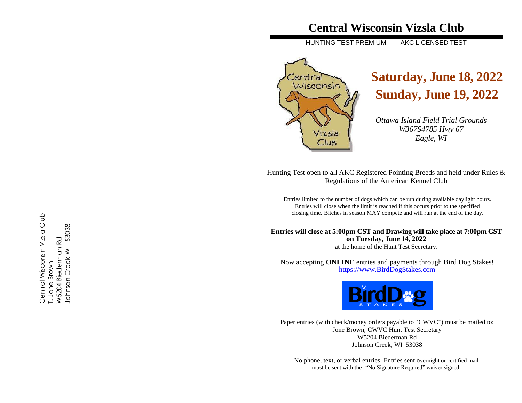# **Central Wisconsin Vizsla Club**

HUNTING TEST PREMIUM AKC LICENSED TEST



# **Saturday, June 18 , 2022 Sunday, June 1 9 , 20 2 2**

*Ottawa Island Field Trial Grounds W367S4785 Hwy 67 Eagle, WI*

Hunting Test open to all AKC Registered Pointing Breeds and held under Rules & Regulations of the American Kennel Club

Entries limited to the number of dogs which can be run during available daylight hours. Entries will close when the limit is reached if this occurs prior to the specified closing time. Bitches in season MAY compete and will run at the end of the day .

**Entries will close at 5:00pm CST and Drawing will take place at 7:00pm CST on Tuesday, June 14 , 2022**

at the home of the Hunt Test Secretary.

Now accepting **ONLINE** entries and payments through Bir d Dog Stakes! https://www [.BirdDogStakes.com](https://www.birddogstakes.com/)



Paper entries (with check/money orders payable to "CWVC") must be mailed to: Jone Brown, CWVC Hunt Test Secretary W5 204 Biederman Rd Johnson Creek, WI 53038

No phone, text, or verbal entries. Entries sent overnight or certified mail must be sent with the "No Signature Required" waiver signed.

Central Wisconsin Vizsla Club Central Wisconsin Vizsla Club T. Jone Brown<br>W5204 Biederman Rd<br>Johnson Creek WI 53038 Johnson Creek WI 53038W5204 Biederman Rd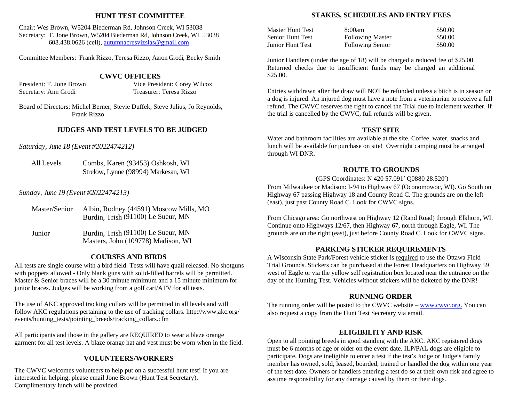#### **HUNT TEST COMMITTEE**

Chair: Wes Brown, W5204 Biederman Rd, Johnson Creek, WI 53038 Secretary: T. Jone Brown, W5204 Biederman Rd, Johnson Creek, WI 53038 608.438.0626 (cell), [autumnacresvizslas@gmail.com](mailto:autumnacresvizslas@gmail.com)

Committee Members: Frank Rizzo, Teresa Rizzo, Aaron Grodi, Becky Smith

#### **CWVC OFFICERS**

President: T. Jone Brown Vice President: Corey Wilcox Secretary: Ann Grodi Treasurer: Teresa Rizzo

Board of Directors: Michel Berner, Stevie Duffek, Steve Julius, Jo Reynolds, Frank Rizzo

# **JUDGES AND TEST LEVELS TO BE JUDGED**

#### *Saturday, June 18 (Event #2022474212)*

All Levels Combs, Karen (93453) Oshkosh, WI Strelow, Lynne (98994) Markesan, WI

#### *Sunday, June 19 (Event #2022474213)*

| Master/Senior | Albin, Rodney (44591) Moscow Mills, MO |
|---------------|----------------------------------------|
|               | Burdin, Trish (91100) Le Sueur, MN     |

Junior Burdin, Trish (91100) Le Sueur, MN Masters, John (109778) Madison, WI

#### **COURSES AND BIRDS**

All tests are single course with a bird field. Tests will have quail released. No shotguns with poppers allowed - Only blank guns with solid-filled barrels will be permitted. Master & Senior braces will be a 30 minute minimum and a 15 minute minimum for junior braces. Judges will be working from a golf cart/ATV for all tests.

The use of AKC approved tracking collars will be permitted in all levels and will follow AKC regulations pertaining to the use of tracking collars. <http://www.akc.org/> events/hunting\_tests/pointing\_breeds/tracking\_collars.cfm

All participants and those in the gallery are REQUIRED to wear a blaze orange garment for all test levels. A blaze orange hat and vest must be worn when in the field.

#### **VOLUNTEERS/WORKERS**

The CWVC welcomes volunteers to help put on a successful hunt test! If you are interested in helping, please email Jone Brown (Hunt Test Secretary). Complimentary lunch will be provided.

#### **STAKES, SCHEDULES AND ENTRY FEES**

Master Hunt Test 8:00am \$50.00 Senior Hunt Test Following Master \$50.00 Junior Hunt Test Following Senior \$50.00

\$25.00.

Junior Handlers (under the age of 18) will be charged a reduced fee of \$25.00. Returned checks due to insufficient funds may be charged an additional

Entries withdrawn after the draw will NOT be refunded unless a bitch is in season or a dog is injured. An injured dog must have a note from a veterinarian to receive a full refund. The CWVC reserves the right to cancel the Trial due to inclement weather. If the trial is cancelled by the CWVC, full refunds will be given.

#### **TEST SITE**

Water and bathroom facilities are available at the site. Coffee, water, snacks and lunch will be available for purchase on site! Overnight camping must be arranged through WI DNR.

# **ROUTE TO GROUNDS**

**(**GPS Coordinates: N 420 57.091' Q0880 28.520')

From Milwaukee or Madison: I-94 to Highway 67 (Oconomowoc, WI). Go South on Highway 67 passing Highway 18 and County Road C. The grounds are on the left (east), just past County Road C. Look for CWVC signs.

From Chicago area: Go northwest on Highway 12 (Rand Road) through Elkhorn, WI. Continue onto Highways 12/67, then Highway 67, north through Eagle, WI. The grounds are on the right (east), just before County Road C. Look for CWVC signs.

# **PARKING STICKER REQUIREMENTS**

A Wisconsin State Park/Forest vehicle sticker is required to use the Ottawa Field Trial Grounds. Stickers can be purchased at the Forest Headquarters on Highway 59 west of Eagle or via the yellow self registration box located near the entrance on the day of the Hunting Test. Vehicles without stickers will be ticketed by the DNR!

# **RUNNING ORDER**

The running order will be posted to the CWVC website – [www.cwvc.org.](http://www.cwvc.org./) You can also request a copy from the Hunt Test Secretary via email.

# **ELIGIBILITY AND RISK**

Open to all pointing breeds in good standing with the AKC. AKC registered dogs must be 6 months of age or older on the event date. ILP/PAL dogs are eligible to participate. Dogs are ineligible to enter a test if the test's Judge or Judge's family member has owned, sold, leased, boarded, trained or handled the dog within one year of the test date. Owners or handlers entering a test do so at their own risk and agree to assume responsibility for any damage caused by them or their dogs.